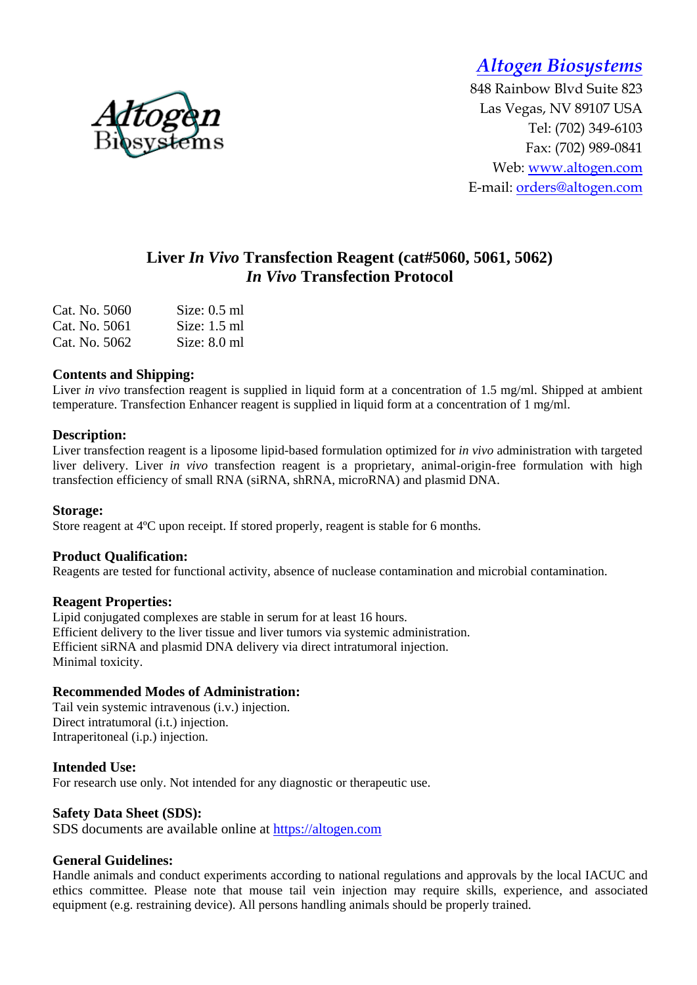*Altogen Biosystems* 

848 Rainbow Blvd Suite 823 Las Vegas, NV 89107 USA Tel: (702) 349-6103 Fax: (702) 989-0841 Web: www.altogen.com E-mail: orders@altogen.com

# **Liver** *In Vivo* **Transfection Reagent (cat#5060, 5061, 5062)**  *In Vivo* **Transfection Protocol**

| Cat. No. 5060 | Size: $0.5$ ml |
|---------------|----------------|
| Cat. No. 5061 | Size: $1.5$ ml |
| Cat. No. 5062 | Size: $8.0$ ml |

### **Contents and Shipping:**

Liver *in vivo* transfection reagent is supplied in liquid form at a concentration of 1.5 mg/ml. Shipped at ambient temperature. Transfection Enhancer reagent is supplied in liquid form at a concentration of 1 mg/ml.

### **Description:**

Liver transfection reagent is a liposome lipid-based formulation optimized for *in vivo* administration with targeted liver delivery. Liver *in vivo* transfection reagent is a proprietary, animal-origin-free formulation with high transfection efficiency of small RNA (siRNA, shRNA, microRNA) and plasmid DNA.

#### **Storage:**

Store reagent at 4ºC upon receipt. If stored properly, reagent is stable for 6 months.

#### **Product Qualification:**

Reagents are tested for functional activity, absence of nuclease contamination and microbial contamination.

#### **Reagent Properties:**

Lipid conjugated complexes are stable in serum for at least 16 hours. Efficient delivery to the liver tissue and liver tumors via systemic administration. Efficient siRNA and plasmid DNA delivery via direct intratumoral injection. Minimal toxicity.

### **Recommended Modes of Administration:**

Tail vein systemic intravenous (i.v.) injection. Direct intratumoral (i.t.) injection. Intraperitoneal (i.p.) injection.

### **Intended Use:**

For research use only. Not intended for any diagnostic or therapeutic use.

#### **Safety Data Sheet (SDS):**

SDS documents are available online at https://altogen.com

#### **General Guidelines:**

Handle animals and conduct experiments according to national regulations and approvals by the local IACUC and ethics committee. Please note that mouse tail vein injection may require skills, experience, and associated equipment (e.g. restraining device). All persons handling animals should be properly trained.